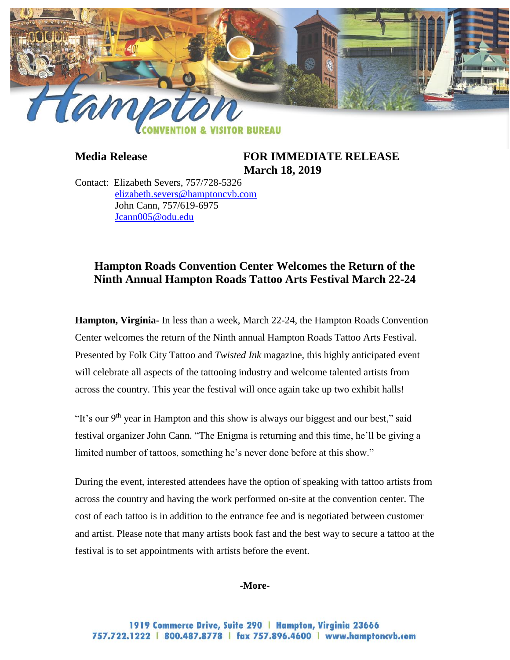

# **Media Release FOR IMMEDIATE RELEASE March 18, 2019**

Contact: Elizabeth Severs, 757/728-5326 [elizabeth.severs@hamptoncvb.com](mailto:elizabeth.severs@hamptoncvb.com) John Cann, 757/619-6975 [Jcann005@odu.edu](mailto:Jcann005@odu.edu)

# **Hampton Roads Convention Center Welcomes the Return of the Ninth Annual Hampton Roads Tattoo Arts Festival March 22-24**

**Hampton, Virginia-** In less than a week, March 22-24, the Hampton Roads Convention Center welcomes the return of the Ninth annual Hampton Roads Tattoo Arts Festival. Presented by Folk City Tattoo and *Twisted Ink* magazine, this highly anticipated event will celebrate all aspects of the tattooing industry and welcome talented artists from across the country. This year the festival will once again take up two exhibit halls!

"It's our  $9<sup>th</sup>$  year in Hampton and this show is always our biggest and our best," said festival organizer John Cann. "The Enigma is returning and this time, he'll be giving a limited number of tattoos, something he's never done before at this show."

During the event, interested attendees have the option of speaking with tattoo artists from across the country and having the work performed on-site at the convention center. The cost of each tattoo is in addition to the entrance fee and is negotiated between customer and artist. Please note that many artists book fast and the best way to secure a tattoo at the festival is to set appointments with artists before the event.

#### **-More-**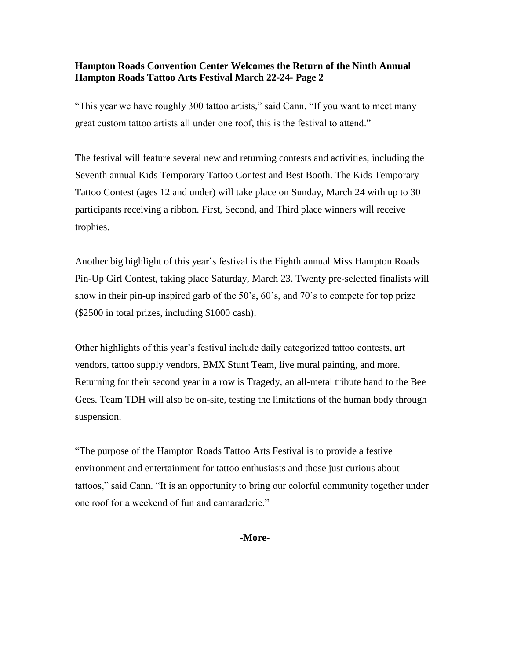## **Hampton Roads Convention Center Welcomes the Return of the Ninth Annual Hampton Roads Tattoo Arts Festival March 22-24- Page 2**

"This year we have roughly 300 tattoo artists," said Cann. "If you want to meet many great custom tattoo artists all under one roof, this is the festival to attend."

The festival will feature several new and returning contests and activities, including the Seventh annual Kids Temporary Tattoo Contest and Best Booth. The Kids Temporary Tattoo Contest (ages 12 and under) will take place on Sunday, March 24 with up to 30 participants receiving a ribbon. First, Second, and Third place winners will receive trophies.

Another big highlight of this year's festival is the Eighth annual Miss Hampton Roads Pin-Up Girl Contest, taking place Saturday, March 23. Twenty pre-selected finalists will show in their pin-up inspired garb of the 50's, 60's, and 70's to compete for top prize (\$2500 in total prizes, including \$1000 cash).

Other highlights of this year's festival include daily categorized tattoo contests, art vendors, tattoo supply vendors, BMX Stunt Team, live mural painting, and more. Returning for their second year in a row is Tragedy, an all-metal tribute band to the Bee Gees. Team TDH will also be on-site, testing the limitations of the human body through suspension.

"The purpose of the Hampton Roads Tattoo Arts Festival is to provide a festive environment and entertainment for tattoo enthusiasts and those just curious about tattoos," said Cann. "It is an opportunity to bring our colorful community together under one roof for a weekend of fun and camaraderie."

**-More-**